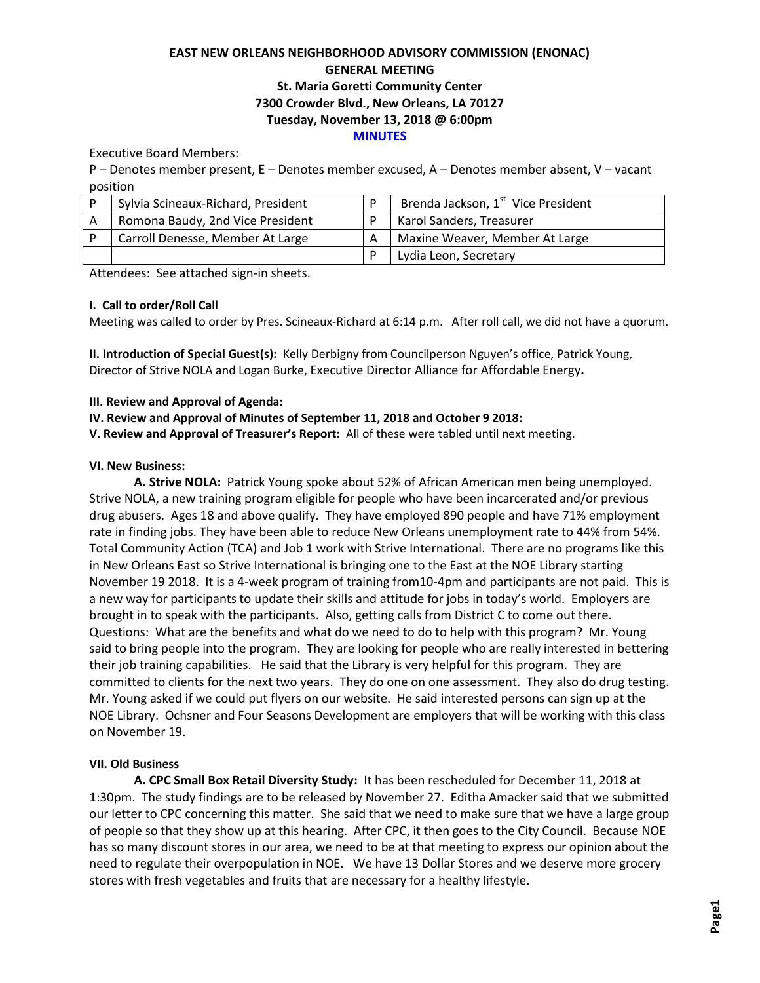# **EAST NEW ORLEANS NEIGHBORHOOD ADVISORY COMMISSION (ENONAC) GENERAL MEETING St. Maria Goretti Community Center 7300 Crowder Blvd., New Orleans, LA 70127 Tuesday, November 13, 2018 @ 6:00pm MINUTES**

Executive Board Members:

P – Denotes member present, E – Denotes member excused, A – Denotes member absent, V – vacant position

| Sylvia Scineaux-Richard, President | Brenda Jackson, 1 <sup>st</sup> Vice President |
|------------------------------------|------------------------------------------------|
| Romona Baudy, 2nd Vice President   | Karol Sanders, Treasurer                       |
| Carroll Denesse, Member At Large   | Maxine Weaver, Member At Large                 |
|                                    | Lydia Leon, Secretary                          |

Attendees: See attached sign-in sheets.

## **I. Call to order/Roll Call**

Meeting was called to order by Pres. Scineaux-Richard at 6:14 p.m. After roll call, we did not have a quorum.

**II. Introduction of Special Guest(s):** Kelly Derbigny from Councilperson Nguyen's office, Patrick Young, Director of Strive NOLA and Logan Burke, Executive Director Alliance for Affordable Energy**.**

## **III. Review and Approval of Agenda:**

## **IV. Review and Approval of Minutes of September 11, 2018 and October 9 2018:**

**V. Review and Approval of Treasurer's Report:** All of these were tabled until next meeting.

## **VI. New Business:**

**A. Strive NOLA:** Patrick Young spoke about 52% of African American men being unemployed. Strive NOLA, a new training program eligible for people who have been incarcerated and/or previous drug abusers. Ages 18 and above qualify. They have employed 890 people and have 71% employment rate in finding jobs. They have been able to reduce New Orleans unemployment rate to 44% from 54%. Total Community Action (TCA) and Job 1 work with Strive International. There are no programs like this in New Orleans East so Strive International is bringing one to the East at the NOE Library starting November 19 2018. It is a 4-week program of training from10-4pm and participants are not paid. This is a new way for participants to update their skills and attitude for jobs in today's world. Employers are brought in to speak with the participants. Also, getting calls from District C to come out there. Questions: What are the benefits and what do we need to do to help with this program? Mr. Young said to bring people into the program. They are looking for people who are really interested in bettering their job training capabilities. He said that the Library is very helpful for this program. They are committed to clients for the next two years. They do one on one assessment. They also do drug testing. Mr. Young asked if we could put flyers on our website. He said interested persons can sign up at the NOE Library. Ochsner and Four Seasons Development are employers that will be working with this class on November 19.

## **VII. Old Business**

**A. CPC Small Box Retail Diversity Study:** It has been rescheduled for December 11, 2018 at 1:30pm. The study findings are to be released by November 27. Editha Amacker said that we submitted our letter to CPC concerning this matter. She said that we need to make sure that we have a large group of people so that they show up at this hearing. After CPC, it then goes to the City Council. Because NOE has so many discount stores in our area, we need to be at that meeting to express our opinion about the need to regulate their overpopulation in NOE. We have 13 Dollar Stores and we deserve more grocery stores with fresh vegetables and fruits that are necessary for a healthy lifestyle.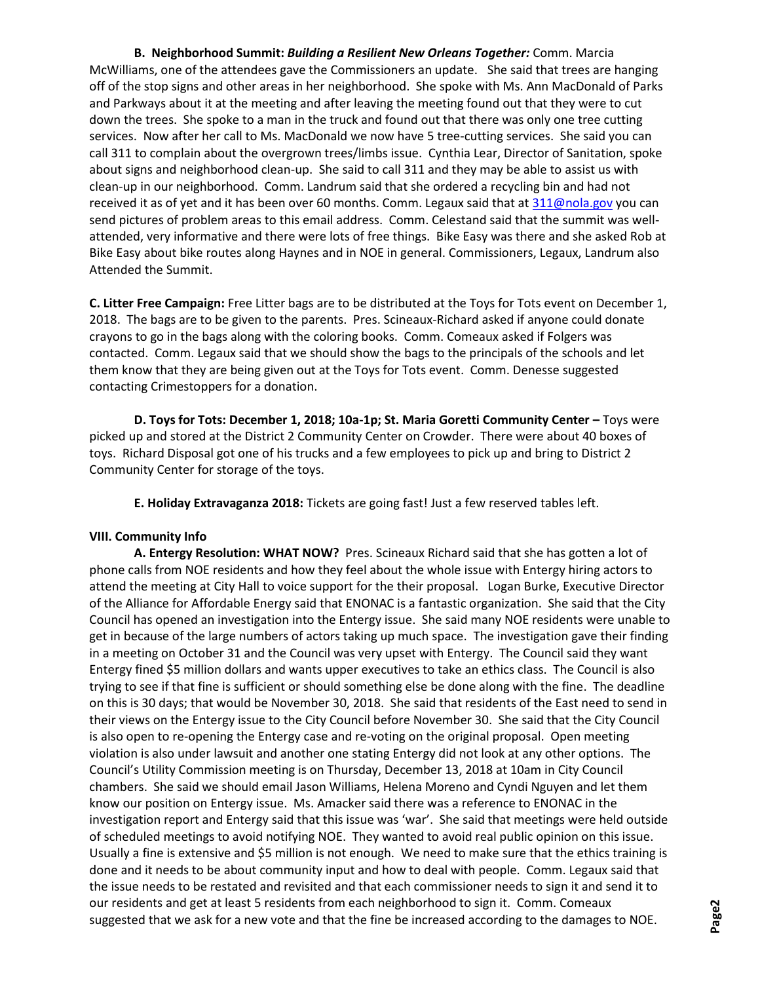**B. Neighborhood Summit:** *Building a Resilient New Orleans Together:* Comm. Marcia McWilliams, one of the attendees gave the Commissioners an update. She said that trees are hanging off of the stop signs and other areas in her neighborhood. She spoke with Ms. Ann MacDonald of Parks and Parkways about it at the meeting and after leaving the meeting found out that they were to cut down the trees. She spoke to a man in the truck and found out that there was only one tree cutting services. Now after her call to Ms. MacDonald we now have 5 tree-cutting services. She said you can call 311 to complain about the overgrown trees/limbs issue. Cynthia Lear, Director of Sanitation, spoke about signs and neighborhood clean-up. She said to call 311 and they may be able to assist us with clean-up in our neighborhood. Comm. Landrum said that she ordered a recycling bin and had not received it as of yet and it has been over 60 months. Comm. Legaux said that at [311@nola.gov](mailto:311@nola.gov) you can send pictures of problem areas to this email address. Comm. Celestand said that the summit was wellattended, very informative and there were lots of free things. Bike Easy was there and she asked Rob at Bike Easy about bike routes along Haynes and in NOE in general. Commissioners, Legaux, Landrum also Attended the Summit.

**C. Litter Free Campaign:** Free Litter bags are to be distributed at the Toys for Tots event on December 1, 2018. The bags are to be given to the parents. Pres. Scineaux-Richard asked if anyone could donate crayons to go in the bags along with the coloring books. Comm. Comeaux asked if Folgers was contacted. Comm. Legaux said that we should show the bags to the principals of the schools and let them know that they are being given out at the Toys for Tots event. Comm. Denesse suggested contacting Crimestoppers for a donation.

**D. Toys for Tots: December 1, 2018; 10a-1p; St. Maria Goretti Community Center - Toys were** picked up and stored at the District 2 Community Center on Crowder. There were about 40 boxes of toys. Richard Disposal got one of his trucks and a few employees to pick up and bring to District 2 Community Center for storage of the toys.

**E. Holiday Extravaganza 2018:** Tickets are going fast! Just a few reserved tables left.

## **VIII. Community Info**

**A. Entergy Resolution: WHAT NOW?** Pres. Scineaux Richard said that she has gotten a lot of phone calls from NOE residents and how they feel about the whole issue with Entergy hiring actors to attend the meeting at City Hall to voice support for the their proposal. Logan Burke, Executive Director of the Alliance for Affordable Energy said that ENONAC is a fantastic organization. She said that the City Council has opened an investigation into the Entergy issue. She said many NOE residents were unable to get in because of the large numbers of actors taking up much space. The investigation gave their finding in a meeting on October 31 and the Council was very upset with Entergy. The Council said they want Entergy fined \$5 million dollars and wants upper executives to take an ethics class. The Council is also trying to see if that fine is sufficient or should something else be done along with the fine. The deadline on this is 30 days; that would be November 30, 2018. She said that residents of the East need to send in their views on the Entergy issue to the City Council before November 30. She said that the City Council is also open to re-opening the Entergy case and re-voting on the original proposal. Open meeting violation is also under lawsuit and another one stating Entergy did not look at any other options. The Council's Utility Commission meeting is on Thursday, December 13, 2018 at 10am in City Council chambers. She said we should email Jason Williams, Helena Moreno and Cyndi Nguyen and let them know our position on Entergy issue. Ms. Amacker said there was a reference to ENONAC in the investigation report and Entergy said that this issue was 'war'. She said that meetings were held outside of scheduled meetings to avoid notifying NOE. They wanted to avoid real public opinion on this issue. Usually a fine is extensive and \$5 million is not enough. We need to make sure that the ethics training is done and it needs to be about community input and how to deal with people. Comm. Legaux said that the issue needs to be restated and revisited and that each commissioner needs to sign it and send it to our residents and get at least 5 residents from each neighborhood to sign it. Comm. Comeaux suggested that we ask for a new vote and that the fine be increased according to the damages to NOE.